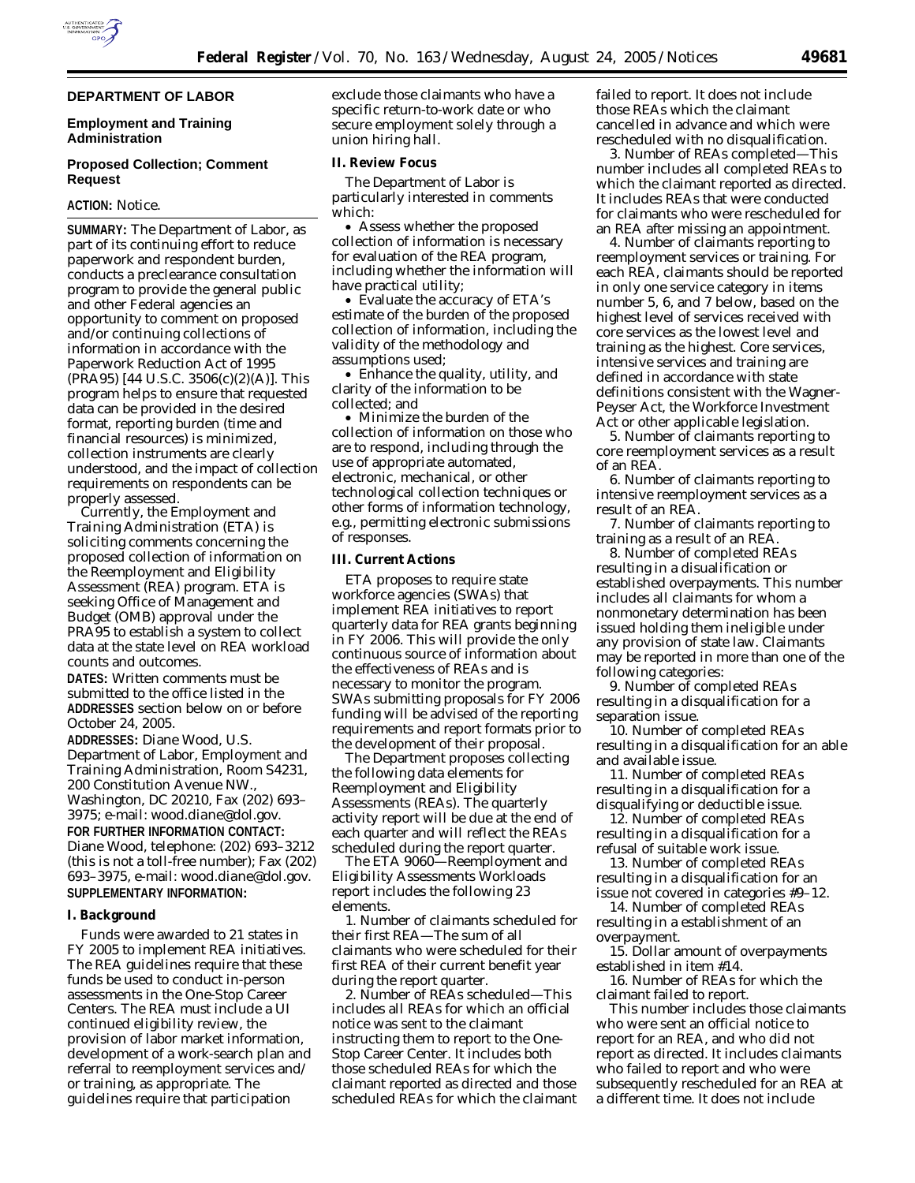

#### **DEPARTMENT OF LABOR**

## **Employment and Training Administration**

## **Proposed Collection; Comment Request**

## **ACTION:** Notice.

**SUMMARY:** The Department of Labor, as part of its continuing effort to reduce paperwork and respondent burden, conducts a preclearance consultation program to provide the general public and other Federal agencies an opportunity to comment on proposed and/or continuing collections of information in accordance with the Paperwork Reduction Act of 1995 (PRA95) [44 U.S.C. 3506(c)(2)(A)]. This program helps to ensure that requested data can be provided in the desired format, reporting burden (time and financial resources) is minimized, collection instruments are clearly understood, and the impact of collection requirements on respondents can be properly assessed.

Currently, the Employment and Training Administration (ETA) is soliciting comments concerning the proposed collection of information on the Reemployment and Eligibility Assessment (REA) program. ETA is seeking Office of Management and Budget (OMB) approval under the PRA95 to establish a system to collect data at the state level on REA workload counts and outcomes.

**DATES:** Written comments must be submitted to the office listed in the **ADDRESSES** section below on or before October 24, 2005.

**ADDRESSES:** Diane Wood, U.S. Department of Labor, Employment and Training Administration, Room S4231, 200 Constitution Avenue NW., Washington, DC 20210, Fax (202) 693– 3975; e-mail: *wood.diane@dol.gov.*

# **FOR FURTHER INFORMATION CONTACT:** Diane Wood, telephone: (202) 693–3212 (this is not a toll-free number); Fax (202) 693–3975, e-mail: *wood.diane@dol.gov.*

# **SUPPLEMENTARY INFORMATION:**

## **I. Background**

Funds were awarded to 21 states in FY 2005 to implement REA initiatives. The REA guidelines require that these funds be used to conduct in-person assessments in the One-Stop Career Centers. The REA must include a UI continued eligibility review, the provision of labor market information, development of a work-search plan and referral to reemployment services and/ or training, as appropriate. The guidelines require that participation

exclude those claimants who have a specific return-to-work date or who secure employment solely through a union hiring hall.

### **II. Review Focus**

The Department of Labor is particularly interested in comments which:

• Assess whether the proposed collection of information is necessary for evaluation of the REA program, including whether the information will have practical utility;

• Evaluate the accuracy of ETA's estimate of the burden of the proposed collection of information, including the validity of the methodology and assumptions used;

• Enhance the quality, utility, and clarity of the information to be collected; and

• Minimize the burden of the collection of information on those who are to respond, including through the use of appropriate automated, electronic, mechanical, or other technological collection techniques or other forms of information technology, *e.g.,* permitting electronic submissions of responses.

#### **III. Current Actions**

ETA proposes to require state workforce agencies (SWAs) that implement REA initiatives to report quarterly data for REA grants beginning in FY 2006. This will provide the only continuous source of information about the effectiveness of REAs and is necessary to monitor the program. SWAs submitting proposals for FY 2006 funding will be advised of the reporting requirements and report formats prior to the development of their proposal.

The Department proposes collecting the following data elements for Reemployment and Eligibility Assessments (REAs). The quarterly activity report will be due at the end of each quarter and will reflect the REAs scheduled during the report quarter.

The ETA 9060—Reemployment and Eligibility Assessments Workloads report includes the following 23 elements.

1. Number of claimants scheduled for their first REA—The sum of all claimants who were scheduled for their first REA of their current benefit year during the report quarter.

2. Number of REAs scheduled—This includes all REAs for which an official notice was sent to the claimant instructing them to report to the One-Stop Career Center. It includes both those scheduled REAs for which the claimant reported as directed and those scheduled REAs for which the claimant

failed to report. It does not include those REAs which the claimant cancelled in advance and which were rescheduled with no disqualification.

3. Number of REAs completed—This number includes all completed REAs to which the claimant reported as directed. It includes REAs that were conducted for claimants who were rescheduled for an REA after missing an appointment.

4. Number of claimants reporting to reemployment services or training. For each REA, claimants should be reported in only one service category in items number 5, 6, and 7 below, based on the highest level of services received with core services as the lowest level and training as the highest. Core services, intensive services and training are defined in accordance with state definitions consistent with the Wagner-Peyser Act, the Workforce Investment Act or other applicable legislation.

5. Number of claimants reporting to core reemployment services as a result of an REA.

6. Number of claimants reporting to intensive reemployment services as a result of an REA.

7. Number of claimants reporting to training as a result of an REA.

8. Number of completed REAs resulting in a disualification or established overpayments. This number includes all claimants for whom a nonmonetary determination has been issued holding them ineligible under any provision of state law. Claimants may be reported in more than one of the following categories:

9. Number of completed REAs resulting in a disqualification for a separation issue.

10. Number of completed REAs resulting in a disqualification for an able and available issue.

11. Number of completed REAs resulting in a disqualification for a disqualifying or deductible issue.

12. Number of completed REAs resulting in a disqualification for a refusal of suitable work issue.

13. Number of completed REAs resulting in a disqualification for an issue not covered in categories #9–12.

14. Number of completed REAs resulting in a establishment of an overpayment.

15. Dollar amount of overpayments established in item #14.

16. Number of REAs for which the claimant failed to report.

This number includes those claimants who were sent an official notice to report for an REA, and who did not report as directed. It includes claimants who failed to report and who were subsequently rescheduled for an REA at a different time. It does not include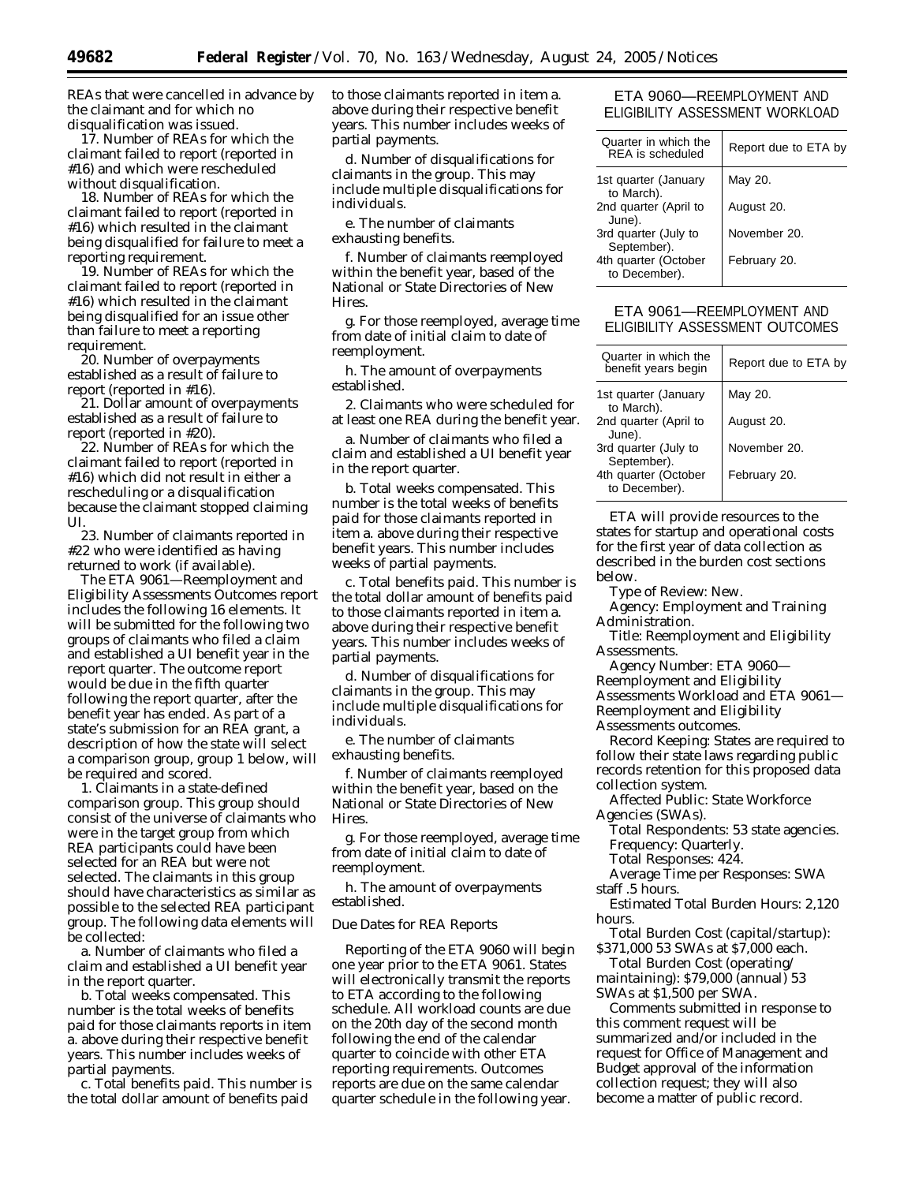REAs that were cancelled in advance by the claimant and for which no disqualification was issued.

17. Number of REAs for which the claimant failed to report (reported in #16) and which were rescheduled without disqualification.

18. Number of REAs for which the claimant failed to report (reported in #16) which resulted in the claimant being disqualified for failure to meet a reporting requirement.

19. Number of REAs for which the claimant failed to report (reported in #16) which resulted in the claimant being disqualified for an issue other than failure to meet a reporting requirement.

20. Number of overpayments established as a result of failure to report (reported in #16).

21. Dollar amount of overpayments established as a result of failure to report (reported in #20).

22. Number of REAs for which the claimant failed to report (reported in #16) which did not result in either a rescheduling or a disqualification because the claimant stopped claiming UI.

23. Number of claimants reported in #22 who were identified as having returned to work (if available).

The ETA 9061—Reemployment and Eligibility Assessments Outcomes report includes the following 16 elements. It will be submitted for the following two groups of claimants who filed a claim and established a UI benefit year in the report quarter. The outcome report would be due in the fifth quarter following the report quarter, after the benefit year has ended. As part of a state's submission for an REA grant, a description of how the state will select a comparison group, group 1 below, will be required and scored.

1. Claimants in a state-defined comparison group. This group should consist of the universe of claimants who were in the target group from which REA participants could have been selected for an REA but were not selected. The claimants in this group should have characteristics as similar as possible to the selected REA participant group. The following data elements will be collected:

a. Number of claimants who filed a claim and established a UI benefit year in the report quarter.

b. Total weeks compensated. This number is the total weeks of benefits paid for those claimants reports in item a. above during their respective benefit years. This number includes weeks of partial payments.

c. Total benefits paid. This number is the total dollar amount of benefits paid

to those claimants reported in item a. above during their respective benefit years. This number includes weeks of partial payments.

d. Number of disqualifications for claimants in the group. This may include multiple disqualifications for individuals.

e. The number of claimants exhausting benefits.

f. Number of claimants reemployed within the benefit year, based of the National or State Directories of New **Hires** 

g. For those reemployed, average time from date of initial claim to date of reemployment.

h. The amount of overpayments established.

2. Claimants who were scheduled for at least one REA during the benefit year.

a. Number of claimants who filed a claim and established a UI benefit year in the report quarter.

b. Total weeks compensated. This number is the total weeks of benefits paid for those claimants reported in item a. above during their respective benefit years. This number includes weeks of partial payments.

c. Total benefits paid. This number is the total dollar amount of benefits paid to those claimants reported in item a. above during their respective benefit years. This number includes weeks of partial payments.

d. Number of disqualifications for claimants in the group. This may include multiple disqualifications for individuals.

e. The number of claimants exhausting benefits.

f. Number of claimants reemployed within the benefit year, based on the National or State Directories of New **Hires** 

g. For those reemployed, average time from date of initial claim to date of reemployment.

h. The amount of overpayments established.

#### *Due Dates for REA Reports*

Reporting of the ETA 9060 will begin one year prior to the ETA 9061. States will electronically transmit the reports to ETA according to the following schedule. All workload counts are due on the 20th day of the second month following the end of the calendar quarter to coincide with other ETA reporting requirements. Outcomes reports are due on the same calendar quarter schedule in the following year.

# ETA 9060—REEMPLOYMENT AND ELIGIBILITY ASSESSMENT WORKLOAD

| Quarter in which the<br>REA is scheduled | Report due to ETA by |
|------------------------------------------|----------------------|
| 1st quarter (January<br>to March).       | May 20.              |
| 2nd quarter (April to<br>June).          | August 20.           |
| 3rd quarter (July to<br>September).      | November 20.         |
| 4th quarter (October<br>to December).    | February 20.         |

# ETA 9061—REEMPLOYMENT AND ELIGIBILITY ASSESSMENT OUTCOMES

| Quarter in which the<br>benefit years begin | Report due to ETA by |
|---------------------------------------------|----------------------|
| 1st quarter (January<br>to March).          | May 20.              |
| 2nd quarter (April to<br>June).             | August 20.           |
| 3rd quarter (July to<br>September).         | November 20.         |
| 4th quarter (October<br>to December).       | February 20.         |

ETA will provide resources to the states for startup and operational costs for the first year of data collection as described in the burden cost sections below.

*Type of Review:* New.

*Agency:* Employment and Training Administration.

*Title:* Reemployment and Eligibility Assessments.

*Agency Number:* ETA 9060— Reemployment and Eligibility Assessments Workload and ETA 9061— Reemployment and Eligibility Assessments outcomes.

*Record Keeping:* States are required to follow their state laws regarding public records retention for this proposed data collection system.

*Affected Public:* State Workforce Agencies (SWAs).

*Total Respondents:* 53 state agencies. *Frequency:* Quarterly.

*Total Responses:* 424.

*Average Time per Responses:* SWA staff .5 hours.

*Estimated Total Burden Hours:* 2,120 hours.

*Total Burden Cost (capital/startup):* \$371,000 53 SWAs at \$7,000 each.

*Total Burden Cost (operating/ maintaining):* \$79,000 (annual) 53 SWAs at \$1,500 per SWA.

Comments submitted in response to this comment request will be summarized and/or included in the request for Office of Management and Budget approval of the information collection request; they will also become a matter of public record.